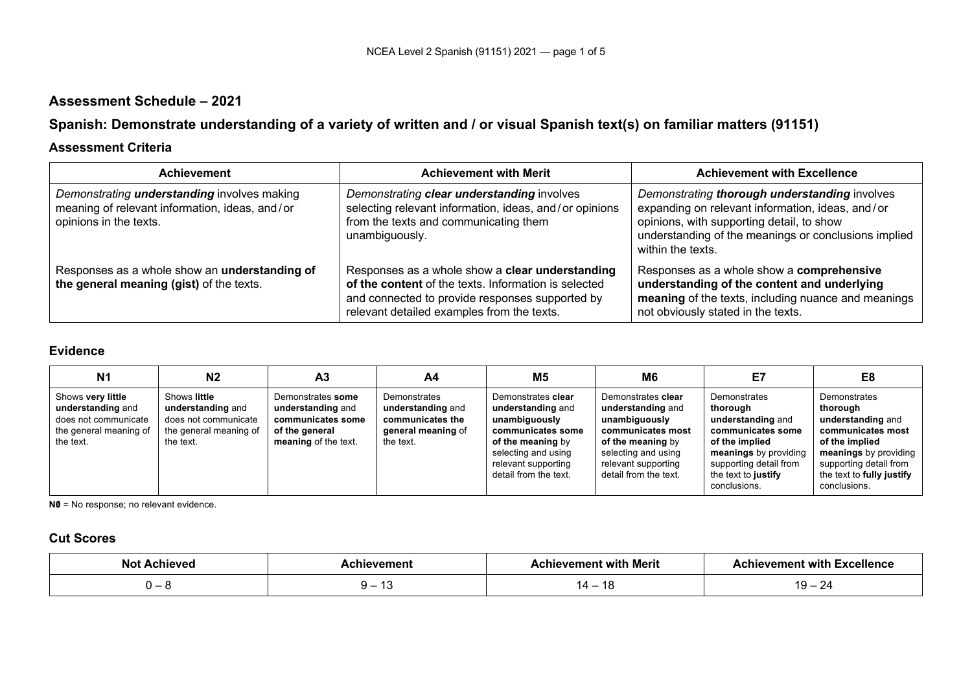# **Assessment Schedule – 2021**

# **Spanish: Demonstrate understanding of a variety of written and / or visual Spanish text(s) on familiar matters (91151)**

### **Assessment Criteria**

| <b>Achievement</b>                                                                                                             | <b>Achievement with Merit</b>                                                                                                                                                                            | <b>Achievement with Excellence</b>                                                                                                                                                                                          |
|--------------------------------------------------------------------------------------------------------------------------------|----------------------------------------------------------------------------------------------------------------------------------------------------------------------------------------------------------|-----------------------------------------------------------------------------------------------------------------------------------------------------------------------------------------------------------------------------|
| Demonstrating <i>understanding</i> involves making<br>meaning of relevant information, ideas, and/or<br>opinions in the texts. | Demonstrating clear understanding involves<br>selecting relevant information, ideas, and/or opinions<br>from the texts and communicating them<br>unambiguously.                                          | Demonstrating thorough understanding involves<br>expanding on relevant information, ideas, and/or<br>opinions, with supporting detail, to show<br>understanding of the meanings or conclusions implied<br>within the texts. |
| Responses as a whole show an understanding of<br>the general meaning (gist) of the texts.                                      | Responses as a whole show a clear understanding<br>of the content of the texts. Information is selected<br>and connected to provide responses supported by<br>relevant detailed examples from the texts. | Responses as a whole show a comprehensive<br>understanding of the content and underlying<br>meaning of the texts, including nuance and meanings<br>not obviously stated in the texts.                                       |

### **Evidence**

| N <sub>1</sub>                                                                                        | N <sub>2</sub>                                                                                   | A <sub>3</sub>                                                                                        | A4                                                                                       | <b>M5</b>                                                                                                                                                                 | M <sub>6</sub>                                                                                                                                                            | Ε7                                                                                                                                                                             | E8                                                                                                                                                                                   |
|-------------------------------------------------------------------------------------------------------|--------------------------------------------------------------------------------------------------|-------------------------------------------------------------------------------------------------------|------------------------------------------------------------------------------------------|---------------------------------------------------------------------------------------------------------------------------------------------------------------------------|---------------------------------------------------------------------------------------------------------------------------------------------------------------------------|--------------------------------------------------------------------------------------------------------------------------------------------------------------------------------|--------------------------------------------------------------------------------------------------------------------------------------------------------------------------------------|
| Shows very little<br>understanding and<br>does not communicate<br>the general meaning of<br>the text. | Shows little<br>understanding and<br>does not communicate<br>the general meaning of<br>the text. | Demonstrates some<br>understanding and<br>communicates some<br>of the general<br>meaning of the text. | Demonstrates<br>understanding and<br>communicates the<br>general meaning of<br>the text. | Demonstrates clear<br>understanding and<br>unambiguously<br>communicates some<br>of the meaning by<br>selecting and using<br>relevant supporting<br>detail from the text. | Demonstrates clear<br>understanding and<br>unambiguously<br>communicates most<br>of the meaning by<br>selecting and using<br>relevant supporting<br>detail from the text. | Demonstrates<br>thorough<br>understanding and<br>communicates some<br>of the implied<br>meanings by providing<br>supporting detail from<br>the text to justify<br>conclusions. | Demonstrates<br>thorough<br>understanding and<br>communicates most<br>of the implied<br>meanings by providing<br>supporting detail from<br>the text to fully justify<br>conclusions. |

**N0** = No response; no relevant evidence.

# **Cut Scores**

| No<br><b>Achievec</b> | hievement: | Achievement with Merit | <b>Achievement with Excellence</b>           |
|-----------------------|------------|------------------------|----------------------------------------------|
|                       | .          | - טו                   | $\sim$<br>u<br>້<br>$\overline{\phantom{0}}$ |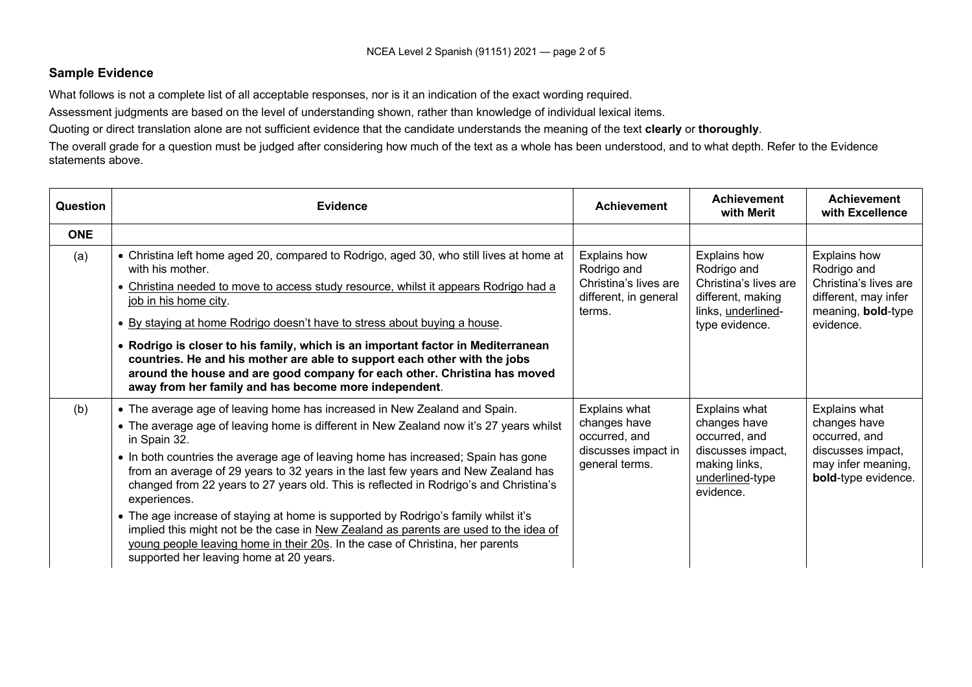#### **Sample Evidence**

What follows is not a complete list of all acceptable responses, nor is it an indication of the exact wording required.

Assessment judgments are based on the level of understanding shown, rather than knowledge of individual lexical items.

Quoting or direct translation alone are not sufficient evidence that the candidate understands the meaning of the text **clearly** or **thoroughly**.

The overall grade for a question must be judged after considering how much of the text as a whole has been understood, and to what depth. Refer to the Evidence statements above.

| Question   | <b>Evidence</b>                                                                                                                                                                                                                                                                                                                                                                                                                                                                                                                                                                                                                                                                                                                                                                  | <b>Achievement</b>                                                                      | <b>Achievement</b><br>with Merit                                                                                         | <b>Achievement</b><br>with Excellence                                                                                  |
|------------|----------------------------------------------------------------------------------------------------------------------------------------------------------------------------------------------------------------------------------------------------------------------------------------------------------------------------------------------------------------------------------------------------------------------------------------------------------------------------------------------------------------------------------------------------------------------------------------------------------------------------------------------------------------------------------------------------------------------------------------------------------------------------------|-----------------------------------------------------------------------------------------|--------------------------------------------------------------------------------------------------------------------------|------------------------------------------------------------------------------------------------------------------------|
| <b>ONE</b> |                                                                                                                                                                                                                                                                                                                                                                                                                                                                                                                                                                                                                                                                                                                                                                                  |                                                                                         |                                                                                                                          |                                                                                                                        |
| (a)        | • Christina left home aged 20, compared to Rodrigo, aged 30, who still lives at home at<br>with his mother.<br>• Christina needed to move to access study resource, whilst it appears Rodrigo had a<br>job in his home city.<br>. By staying at home Rodrigo doesn't have to stress about buying a house.<br>• Rodrigo is closer to his family, which is an important factor in Mediterranean<br>countries. He and his mother are able to support each other with the jobs<br>around the house and are good company for each other. Christina has moved<br>away from her family and has become more independent.                                                                                                                                                                 | Explains how<br>Rodrigo and<br>Christina's lives are<br>different, in general<br>terms. | <b>Explains how</b><br>Rodrigo and<br>Christina's lives are<br>different, making<br>links, underlined-<br>type evidence. | Explains how<br>Rodrigo and<br>Christina's lives are<br>different, may infer<br>meaning, <b>bold-type</b><br>evidence. |
| (b)        | • The average age of leaving home has increased in New Zealand and Spain.<br>• The average age of leaving home is different in New Zealand now it's 27 years whilst<br>in Spain 32.<br>• In both countries the average age of leaving home has increased; Spain has gone<br>from an average of 29 years to 32 years in the last few years and New Zealand has<br>changed from 22 years to 27 years old. This is reflected in Rodrigo's and Christina's<br>experiences.<br>• The age increase of staying at home is supported by Rodrigo's family whilst it's<br>implied this might not be the case in New Zealand as parents are used to the idea of<br>young people leaving home in their 20s. In the case of Christina, her parents<br>supported her leaving home at 20 years. | Explains what<br>changes have<br>occurred, and<br>discusses impact in<br>general terms. | Explains what<br>changes have<br>occurred, and<br>discusses impact,<br>making links,<br>underlined-type<br>evidence.     | Explains what<br>changes have<br>occurred, and<br>discusses impact,<br>may infer meaning,<br>bold-type evidence.       |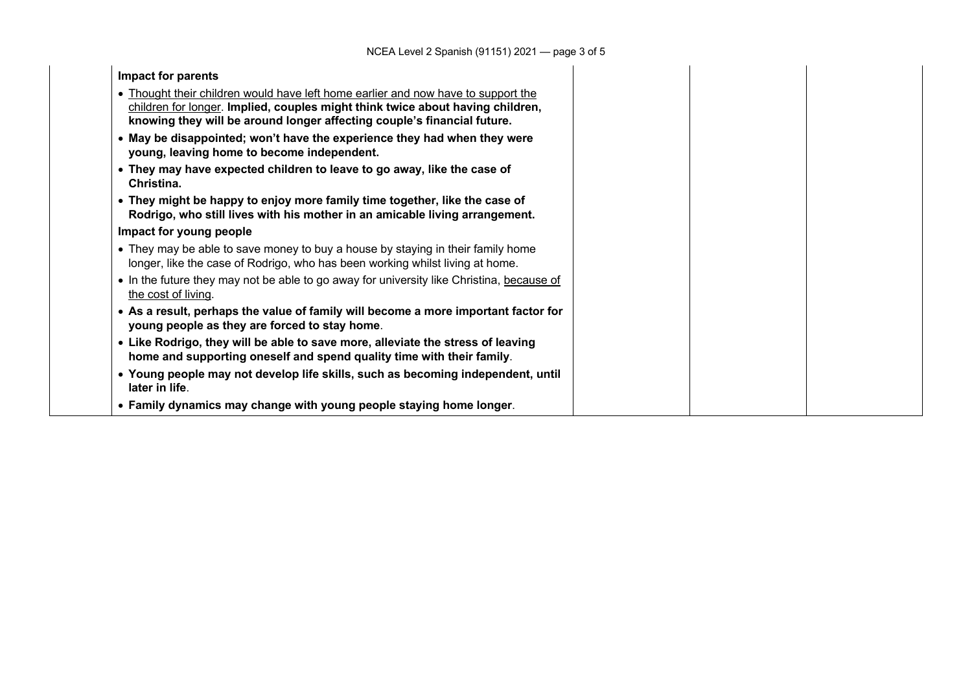| Impact for parents                                                                                                                                                                                                                             |  |  |
|------------------------------------------------------------------------------------------------------------------------------------------------------------------------------------------------------------------------------------------------|--|--|
| • Thought their children would have left home earlier and now have to support the<br>children for longer. Implied, couples might think twice about having children,<br>knowing they will be around longer affecting couple's financial future. |  |  |
| • May be disappointed; won't have the experience they had when they were<br>young, leaving home to become independent.                                                                                                                         |  |  |
| • They may have expected children to leave to go away, like the case of<br>Christina.                                                                                                                                                          |  |  |
| • They might be happy to enjoy more family time together, like the case of<br>Rodrigo, who still lives with his mother in an amicable living arrangement.                                                                                      |  |  |
| Impact for young people                                                                                                                                                                                                                        |  |  |
| • They may be able to save money to buy a house by staying in their family home<br>longer, like the case of Rodrigo, who has been working whilst living at home.                                                                               |  |  |
| • In the future they may not be able to go away for university like Christina, because of<br>the cost of living.                                                                                                                               |  |  |
| • As a result, perhaps the value of family will become a more important factor for<br>young people as they are forced to stay home.                                                                                                            |  |  |
| • Like Rodrigo, they will be able to save more, alleviate the stress of leaving<br>home and supporting oneself and spend quality time with their family.                                                                                       |  |  |
| • Young people may not develop life skills, such as becoming independent, until<br>later in life.                                                                                                                                              |  |  |
| • Family dynamics may change with young people staying home longer.                                                                                                                                                                            |  |  |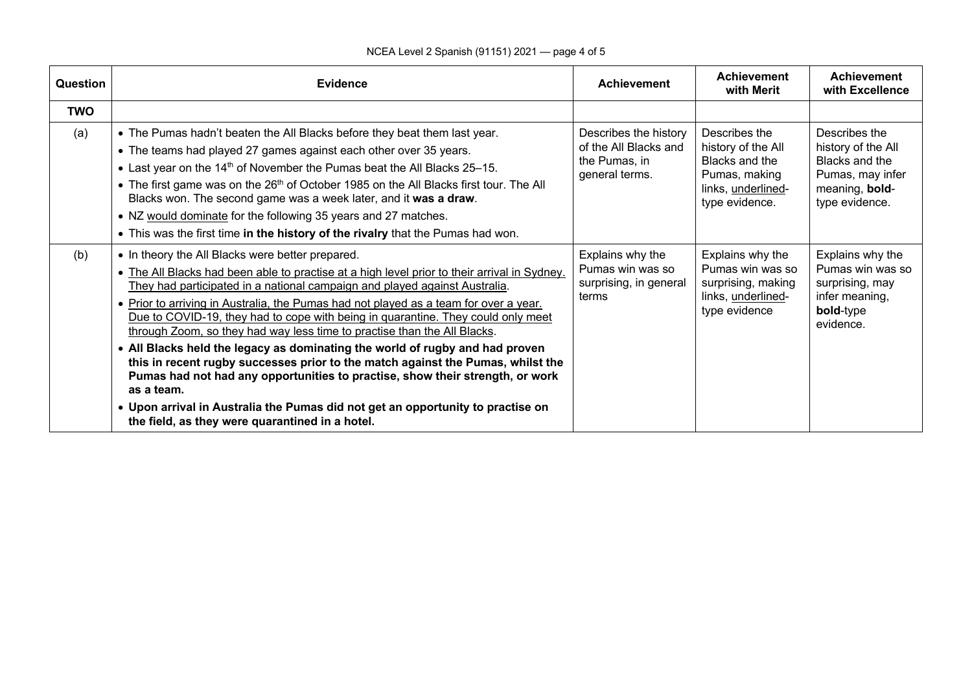### NCEA Level 2 Spanish (91151) 2021 — page 4 of 5

| <b>Question</b> | <b>Evidence</b>                                                                                                                                                                                                                                                                                                                                                                                                                                                                                                                                                                                                                                                                                                                                                                                                                                                                                 | <b>Achievement</b>                                                                | <b>Achievement</b><br>with Merit                                                                               | <b>Achievement</b><br>with Excellence                                                                         |
|-----------------|-------------------------------------------------------------------------------------------------------------------------------------------------------------------------------------------------------------------------------------------------------------------------------------------------------------------------------------------------------------------------------------------------------------------------------------------------------------------------------------------------------------------------------------------------------------------------------------------------------------------------------------------------------------------------------------------------------------------------------------------------------------------------------------------------------------------------------------------------------------------------------------------------|-----------------------------------------------------------------------------------|----------------------------------------------------------------------------------------------------------------|---------------------------------------------------------------------------------------------------------------|
| <b>TWO</b>      |                                                                                                                                                                                                                                                                                                                                                                                                                                                                                                                                                                                                                                                                                                                                                                                                                                                                                                 |                                                                                   |                                                                                                                |                                                                                                               |
| (a)             | . The Pumas hadn't beaten the All Blacks before they beat them last year.<br>• The teams had played 27 games against each other over 35 years.<br>• Last year on the 14 <sup>th</sup> of November the Pumas beat the All Blacks 25-15.<br>• The first game was on the 26 <sup>th</sup> of October 1985 on the All Blacks first tour. The All<br>Blacks won. The second game was a week later, and it was a draw.<br>• NZ would dominate for the following 35 years and 27 matches.<br>. This was the first time in the history of the rivalry that the Pumas had won.                                                                                                                                                                                                                                                                                                                           | Describes the history<br>of the All Blacks and<br>the Pumas, in<br>general terms. | Describes the<br>history of the All<br>Blacks and the<br>Pumas, making<br>links, underlined-<br>type evidence. | Describes the<br>history of the All<br>Blacks and the<br>Pumas, may infer<br>meaning, bold-<br>type evidence. |
| (b)             | • In theory the All Blacks were better prepared.<br>• The All Blacks had been able to practise at a high level prior to their arrival in Sydney.<br>They had participated in a national campaign and played against Australia.<br>. Prior to arriving in Australia, the Pumas had not played as a team for over a year.<br>Due to COVID-19, they had to cope with being in quarantine. They could only meet<br>through Zoom, so they had way less time to practise than the All Blacks.<br>• All Blacks held the legacy as dominating the world of rugby and had proven<br>this in recent rugby successes prior to the match against the Pumas, whilst the<br>Pumas had not had any opportunities to practise, show their strength, or work<br>as a team.<br>. Upon arrival in Australia the Pumas did not get an opportunity to practise on<br>the field, as they were quarantined in a hotel. | Explains why the<br>Pumas win was so<br>surprising, in general<br>terms           | Explains why the<br>Pumas win was so<br>surprising, making<br>links, underlined-<br>type evidence              | Explains why the<br>Pumas win was so<br>surprising, may<br>infer meaning,<br>bold-type<br>evidence.           |